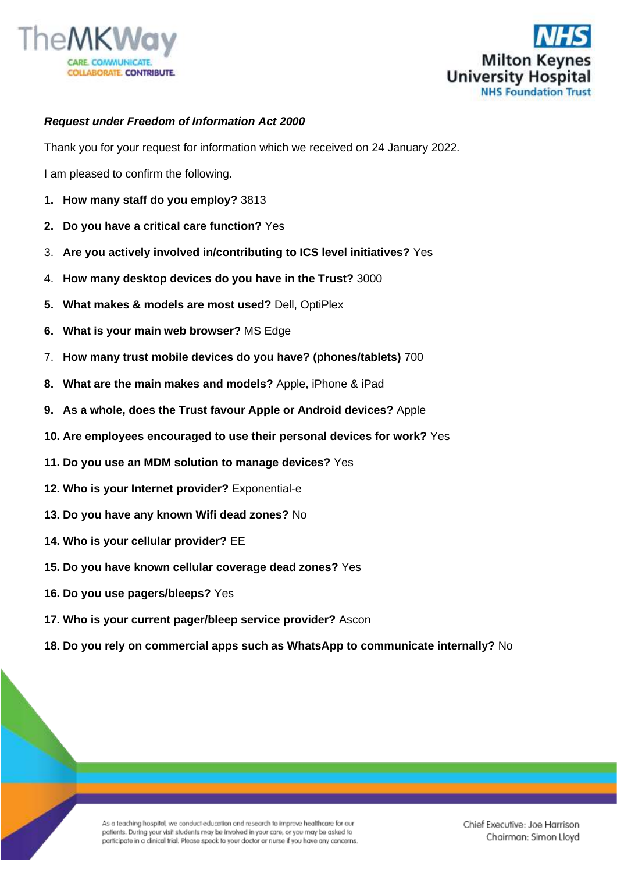



## *Request under Freedom of Information Act 2000*

Thank you for your request for information which we received on 24 January 2022.

I am pleased to confirm the following.

- **1. How many staff do you employ?** 3813
- **2. Do you have a critical care function?** Yes
- 3. **Are you actively involved in/contributing to ICS level initiatives?** Yes
- 4. **How many desktop devices do you have in the Trust?** 3000
- **5. What makes & models are most used?** Dell, OptiPlex
- **6. What is your main web browser?** MS Edge
- 7. **How many trust mobile devices do you have? (phones/tablets)** 700
- **8. What are the main makes and models?** Apple, iPhone & iPad
- **9. As a whole, does the Trust favour Apple or Android devices?** Apple
- **10. Are employees encouraged to use their personal devices for work?** Yes
- **11. Do you use an MDM solution to manage devices?** Yes
- **12. Who is your Internet provider?** Exponential-e
- **13. Do you have any known Wifi dead zones?** No
- **14. Who is your cellular provider?** EE
- **15. Do you have known cellular coverage dead zones?** Yes
- **16. Do you use pagers/bleeps?** Yes
- **17. Who is your current pager/bleep service provider?** Ascon
- **18. Do you rely on commercial apps such as WhatsApp to communicate internally?** No

As a teaching hospital, we conduct education and research to improve healthcare for our patients. During your visit students may be involved in your care, or you may be asked to participate in a clinical trial. Please speak to your doctor or nurse if you have any concerns.